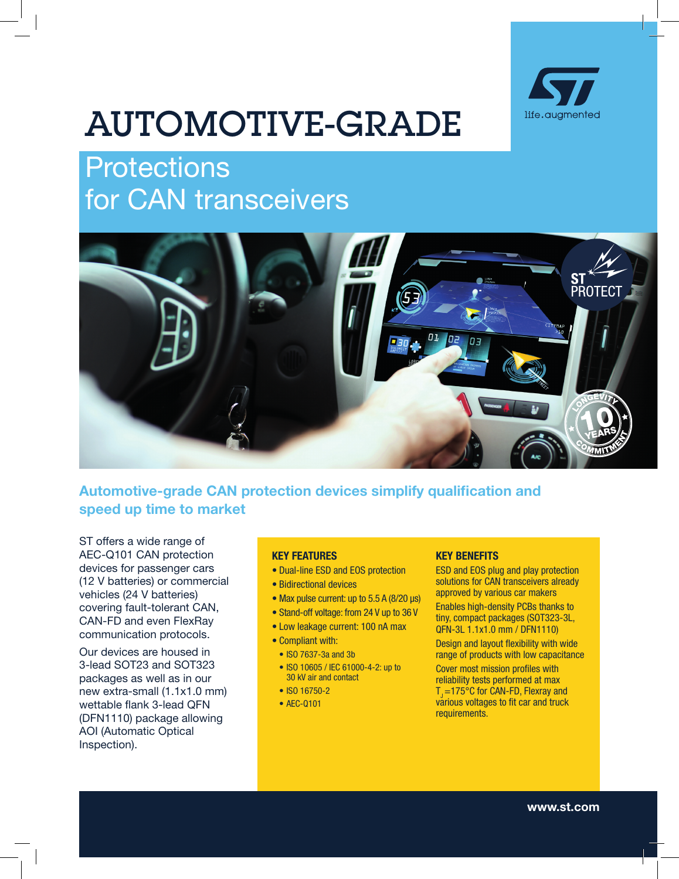

# AUTOMOTIVE-GRADE

# **Protections** for CAN transceivers



# Automotive-grade CAN protection devices simplify qualification and speed up time to market

ST offers a wide range of AEC-Q101 CAN protection devices for passenger cars (12 V batteries) or commercial vehicles (24 V batteries) covering fault-tolerant CAN, CAN-FD and even FlexRay communication protocols.

Our devices are housed in 3-lead SOT23 and SOT323 packages as well as in our new extra-small (1.1x1.0 mm) wettable flank 3-lead QFN (DFN1110) package allowing AOI (Automatic Optical Inspection).

#### KEY FEATURES

- Dual-line ESD and EOS protection
- Bidirectional devices
- Max pulse current: up to 5.5 A (8/20 μs)
- Stand-off voltage: from 24 V up to 36 V
- Low leakage current: 100 nA max
- Compliant with:
- ISO 7637-3a and 3b
- ISO 10605 / IEC 61000-4-2: up to 30 kV air and contact
- ISO 16750-2
- AEC-Q101

#### KEY BENEFITS

ESD and EOS plug and play protection solutions for CAN transceivers already approved by various car makers

Enables high-density PCBs thanks to tiny, compact packages (SOT323-3L, QFN-3L 1.1x1.0 mm / DFN1110)

Design and layout flexibility with wide range of products with low capacitance

Cover most mission profiles with reliability tests performed at max  $T_1 = 175^\circ C$  for CAN-FD, Flexray and various voltages to fit car and truck requirements.